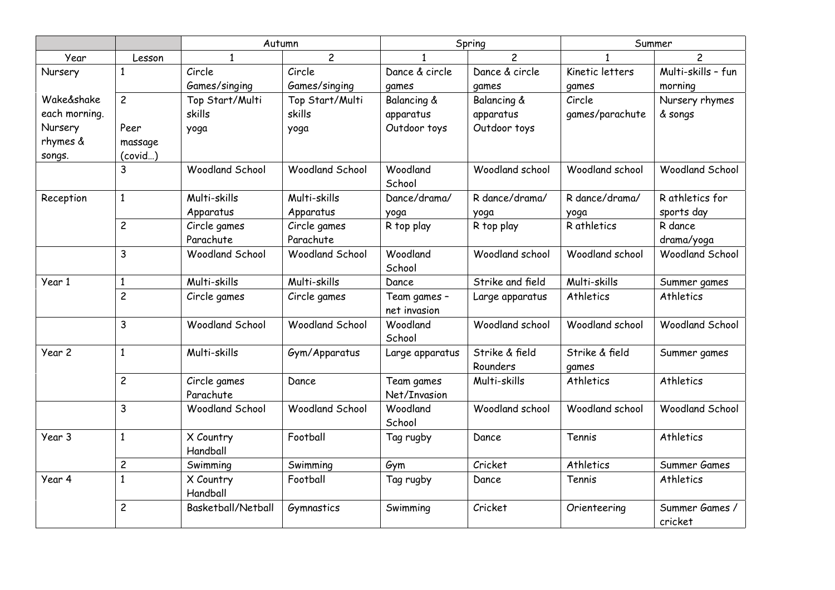|               |                | Autumn                    |                        | Spring                       |                        | Summer          |                           |
|---------------|----------------|---------------------------|------------------------|------------------------------|------------------------|-----------------|---------------------------|
| Year          | Lesson         | 1                         | $\overline{c}$         |                              | 2                      |                 |                           |
| Nursery       | $\mathbf{1}$   | Circle                    | Circle                 | Dance & circle               | Dance & circle         | Kinetic letters | Multi-skills - fun        |
|               |                | Games/singing             | Games/singing          | games                        | games                  | games           | morning                   |
| Wake&shake    | $\overline{c}$ | Top Start/Multi           | Top Start/Multi        | <b>Balancing &amp;</b>       | <b>Balancing &amp;</b> | Circle          | Nursery rhymes            |
| each morning. |                | skills                    | skills                 | apparatus                    | apparatus              | games/parachute | & songs                   |
| Nursery       | Peer           | yoga                      | yoga                   | Outdoor toys                 | Outdoor toys           |                 |                           |
| rhymes &      | massage        |                           |                        |                              |                        |                 |                           |
| songs.        | (covid)        |                           |                        |                              |                        |                 |                           |
|               | 3              | <b>Woodland School</b>    | <b>Woodland School</b> | Woodland                     | Woodland school        | Woodland school | <b>Woodland School</b>    |
|               |                |                           |                        | School                       |                        |                 |                           |
| Reception     | $\mathbf{1}$   | Multi-skills              | Multi-skills           | Dance/drama/                 | R dance/drama/         | R dance/drama/  | R athletics for           |
|               |                | Apparatus                 | Apparatus              | yoga                         | yoga                   | yoqa            | sports day                |
|               | $\overline{c}$ | Circle games              | Circle games           | R top play                   | R top play             | R athletics     | R dance                   |
|               |                | Parachute                 | Parachute              |                              |                        |                 | drama/yoga                |
|               | 3              | <b>Woodland School</b>    | <b>Woodland School</b> | Woodland<br>School           | Woodland school        | Woodland school | <b>Woodland School</b>    |
| Year 1        | $\mathbf{1}$   | Multi-skills              | Multi-skills           | Dance                        | Strike and field       | Multi-skills    | Summer games              |
|               | $\overline{c}$ | Circle games              | Circle games           | Team games -<br>net invasion | Large apparatus        | Athletics       | Athletics                 |
|               | 3              | <b>Woodland School</b>    | <b>Woodland School</b> | Woodland<br>School           | Woodland school        | Woodland school | <b>Woodland School</b>    |
| Year 2        | $\mathbf{1}$   | Multi-skills              | Gym/Apparatus          | Large apparatus              | Strike & field         | Strike & field  | Summer games              |
|               |                |                           |                        |                              | Rounders               | games           |                           |
|               | $\overline{c}$ | Circle games<br>Parachute | Dance                  | Team games<br>Net/Invasion   | Multi-skills           | Athletics       | Athletics                 |
|               | 3              | <b>Woodland School</b>    | <b>Woodland School</b> | Woodland<br>School           | Woodland school        | Woodland school | <b>Woodland School</b>    |
| Year 3        | $\mathbf{1}$   | X Country<br>Handball     | Football               | Tag rugby                    | Dance                  | Tennis          | Athletics                 |
|               | $\overline{c}$ | Swimming                  | Swimming               | Gym                          | Cricket                | Athletics       | Summer Games              |
| Year 4        | $\mathbf{1}$   | X Country<br>Handball     | Football               | Tag rugby                    | Dance                  | Tennis          | Athletics                 |
|               | $\overline{c}$ | Basketball/Netball        | Gymnastics             | Swimming                     | Cricket                | Orienteering    | Summer Games /<br>cricket |